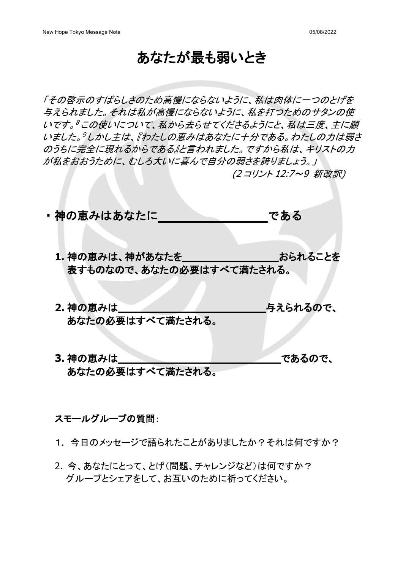## あなたが最も弱いとき

「その啓示のすばらしさのため高慢にならないように、私は肉体に一つのとげを 与えられました。それは私が高慢にならないように、私を打つためのサタンの使 いです。8この使いについて、私から去らせてくださるようにと、私は三度、主に願 いました。『しかし主は、『わたしの恵みはあなたに十分である。わたしの力は弱さ のうちに完全に現れるからである』と言われました。ですから私は、キリストの力 が私をおおうために、むしろ大いに喜んで自分の弱さを誇りましょう。」 (2 コリント 12:7~9 新改訳)

・神の恵みはあなたに いっしん である 1. 神の恵みは、神があなたを **マントリック おられることを** 表すものなので、あなたの必要はすべて満たされる。

- **2.** 神の恵みは与えられるので、 あなたの必要はすべて満たされる。
- **3.** 神の恵みはであるので、 あなたの必要はすべて満たされる。

## スモールグループの質問:

1. 今日のメッセージで語られたことがありましたか?それは何ですか?

2. 今、あなたにとって、とげ(問題、チャレンジなど)は何ですか? グループとシェアをして、お互いのために祈ってください。